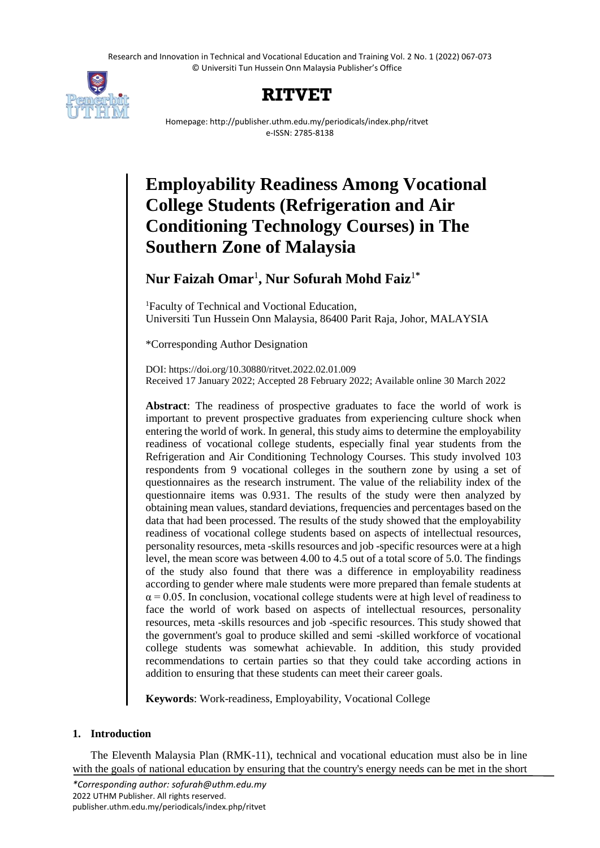Research and Innovation in Technical and Vocational Education and Training Vol. 2 No. 1 (2022) 067-073 © Universiti Tun Hussein Onn Malaysia Publisher's Office



## **RITVET**

Homepage: http://publisher.uthm.edu.my/periodicals/index.php/ritvet e-ISSN: 2785-8138

# **Employability Readiness Among Vocational College Students (Refrigeration and Air Conditioning Technology Courses) in The Southern Zone of Malaysia**

### **Nur Faizah Omar**<sup>1</sup> **, Nur Sofurah Mohd Faiz**<sup>1</sup>**\***

<sup>1</sup>Faculty of Technical and Voctional Education, Universiti Tun Hussein Onn Malaysia, 86400 Parit Raja, Johor, MALAYSIA

\*Corresponding Author Designation

DOI: https://doi.org/10.30880/ritvet.2022.02.01.009 Received 17 January 2022; Accepted 28 February 2022; Available online 30 March 2022

**Abstract**: The readiness of prospective graduates to face the world of work is important to prevent prospective graduates from experiencing culture shock when entering the world of work. In general, this study aims to determine the employability readiness of vocational college students, especially final year students from the Refrigeration and Air Conditioning Technology Courses. This study involved 103 respondents from 9 vocational colleges in the southern zone by using a set of questionnaires as the research instrument. The value of the reliability index of the questionnaire items was 0.931. The results of the study were then analyzed by obtaining mean values, standard deviations, frequencies and percentages based on the data that had been processed. The results of the study showed that the employability readiness of vocational college students based on aspects of intellectual resources, personality resources, meta -skills resources and job -specific resources were at a high level, the mean score was between 4.00 to 4.5 out of a total score of 5.0. The findings of the study also found that there was a difference in employability readiness according to gender where male students were more prepared than female students at  $\alpha$  = 0.05. In conclusion, vocational college students were at high level of readiness to face the world of work based on aspects of intellectual resources, personality resources, meta -skills resources and job -specific resources. This study showed that the government's goal to produce skilled and semi -skilled workforce of vocational college students was somewhat achievable. In addition, this study provided recommendations to certain parties so that they could take according actions in addition to ensuring that these students can meet their career goals.

**Keywords**: Work-readiness, Employability, Vocational College

#### **1. Introduction**

The Eleventh Malaysia Plan (RMK-11), technical and vocational education must also be in line with the goals of national education by ensuring that the country's energy needs can be met in the short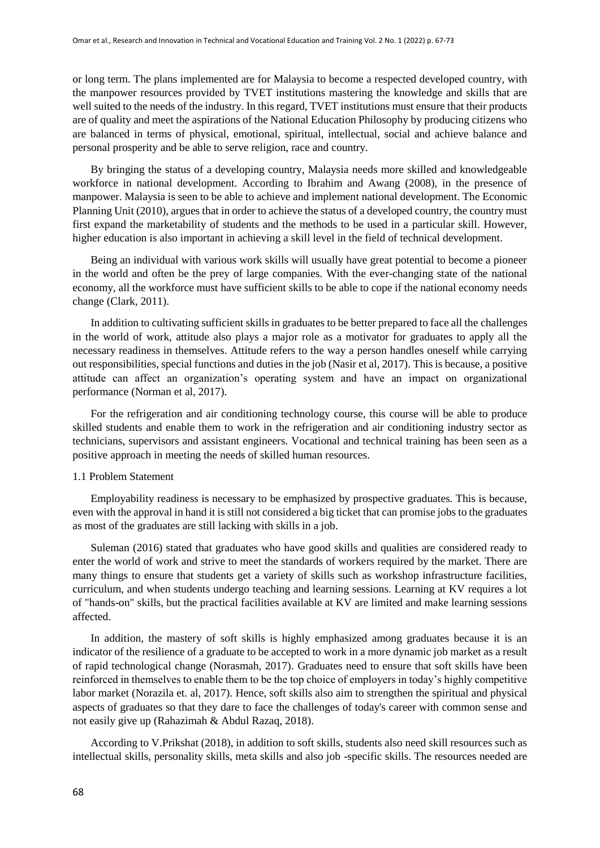or long term. The plans implemented are for Malaysia to become a respected developed country, with the manpower resources provided by TVET institutions mastering the knowledge and skills that are well suited to the needs of the industry. In this regard, TVET institutions must ensure that their products are of quality and meet the aspirations of the National Education Philosophy by producing citizens who are balanced in terms of physical, emotional, spiritual, intellectual, social and achieve balance and personal prosperity and be able to serve religion, race and country.

By bringing the status of a developing country, Malaysia needs more skilled and knowledgeable workforce in national development. According to Ibrahim and Awang (2008), in the presence of manpower. Malaysia is seen to be able to achieve and implement national development. The Economic Planning Unit (2010), argues that in order to achieve the status of a developed country, the country must first expand the marketability of students and the methods to be used in a particular skill. However, higher education is also important in achieving a skill level in the field of technical development.

Being an individual with various work skills will usually have great potential to become a pioneer in the world and often be the prey of large companies. With the ever-changing state of the national economy, all the workforce must have sufficient skills to be able to cope if the national economy needs change (Clark, 2011).

In addition to cultivating sufficient skills in graduates to be better prepared to face all the challenges in the world of work, attitude also plays a major role as a motivator for graduates to apply all the necessary readiness in themselves. Attitude refers to the way a person handles oneself while carrying out responsibilities, special functions and duties in the job (Nasir et al, 2017). This is because, a positive attitude can affect an organization's operating system and have an impact on organizational performance (Norman et al, 2017).

For the refrigeration and air conditioning technology course, this course will be able to produce skilled students and enable them to work in the refrigeration and air conditioning industry sector as technicians, supervisors and assistant engineers. Vocational and technical training has been seen as a positive approach in meeting the needs of skilled human resources.

#### 1.1 Problem Statement

Employability readiness is necessary to be emphasized by prospective graduates. This is because, even with the approval in hand it is still not considered a big ticket that can promise jobs to the graduates as most of the graduates are still lacking with skills in a job.

Suleman (2016) stated that graduates who have good skills and qualities are considered ready to enter the world of work and strive to meet the standards of workers required by the market. There are many things to ensure that students get a variety of skills such as workshop infrastructure facilities, curriculum, and when students undergo teaching and learning sessions. Learning at KV requires a lot of "hands-on" skills, but the practical facilities available at KV are limited and make learning sessions affected.

In addition, the mastery of soft skills is highly emphasized among graduates because it is an indicator of the resilience of a graduate to be accepted to work in a more dynamic job market as a result of rapid technological change (Norasmah, 2017). Graduates need to ensure that soft skills have been reinforced in themselves to enable them to be the top choice of employers in today's highly competitive labor market (Norazila et. al, 2017). Hence, soft skills also aim to strengthen the spiritual and physical aspects of graduates so that they dare to face the challenges of today's career with common sense and not easily give up (Rahazimah & Abdul Razaq, 2018).

According to V.Prikshat (2018), in addition to soft skills, students also need skill resources such as intellectual skills, personality skills, meta skills and also job -specific skills. The resources needed are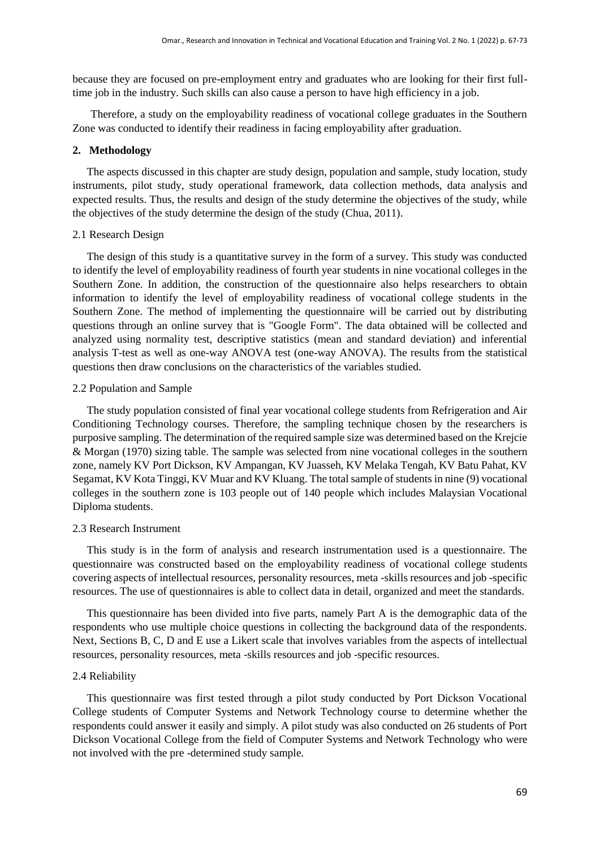because they are focused on pre-employment entry and graduates who are looking for their first fulltime job in the industry. Such skills can also cause a person to have high efficiency in a job.

Therefore, a study on the employability readiness of vocational college graduates in the Southern Zone was conducted to identify their readiness in facing employability after graduation.

#### **2. Methodology**

The aspects discussed in this chapter are study design, population and sample, study location, study instruments, pilot study, study operational framework, data collection methods, data analysis and expected results. Thus, the results and design of the study determine the objectives of the study, while the objectives of the study determine the design of the study (Chua, 2011).

#### 2.1 Research Design

The design of this study is a quantitative survey in the form of a survey. This study was conducted to identify the level of employability readiness of fourth year students in nine vocational colleges in the Southern Zone. In addition, the construction of the questionnaire also helps researchers to obtain information to identify the level of employability readiness of vocational college students in the Southern Zone. The method of implementing the questionnaire will be carried out by distributing questions through an online survey that is "Google Form". The data obtained will be collected and analyzed using normality test, descriptive statistics (mean and standard deviation) and inferential analysis T-test as well as one-way ANOVA test (one-way ANOVA). The results from the statistical questions then draw conclusions on the characteristics of the variables studied.

#### 2.2 Population and Sample

The study population consisted of final year vocational college students from Refrigeration and Air Conditioning Technology courses. Therefore, the sampling technique chosen by the researchers is purposive sampling. The determination of the required sample size was determined based on the Krejcie & Morgan (1970) sizing table. The sample was selected from nine vocational colleges in the southern zone, namely KV Port Dickson, KV Ampangan, KV Juasseh, KV Melaka Tengah, KV Batu Pahat, KV Segamat, KV Kota Tinggi, KV Muar and KV Kluang. The total sample of students in nine (9) vocational colleges in the southern zone is 103 people out of 140 people which includes Malaysian Vocational Diploma students.

#### 2.3 Research Instrument

This study is in the form of analysis and research instrumentation used is a questionnaire. The questionnaire was constructed based on the employability readiness of vocational college students covering aspects of intellectual resources, personality resources, meta -skills resources and job -specific resources. The use of questionnaires is able to collect data in detail, organized and meet the standards.

This questionnaire has been divided into five parts, namely Part A is the demographic data of the respondents who use multiple choice questions in collecting the background data of the respondents. Next, Sections B, C, D and E use a Likert scale that involves variables from the aspects of intellectual resources, personality resources, meta -skills resources and job -specific resources.

#### 2.4 Reliability

This questionnaire was first tested through a pilot study conducted by Port Dickson Vocational College students of Computer Systems and Network Technology course to determine whether the respondents could answer it easily and simply. A pilot study was also conducted on 26 students of Port Dickson Vocational College from the field of Computer Systems and Network Technology who were not involved with the pre -determined study sample.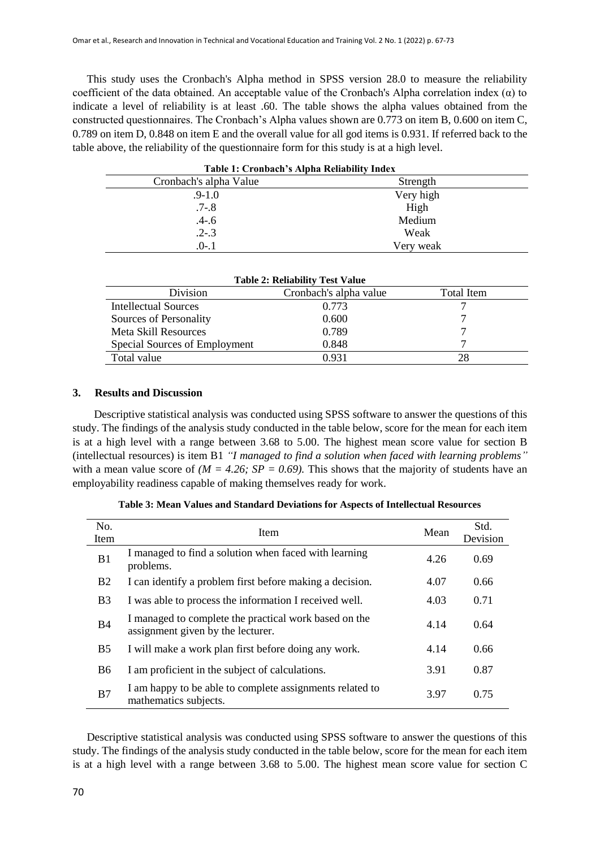This study uses the Cronbach's Alpha method in SPSS version 28.0 to measure the reliability coefficient of the data obtained. An acceptable value of the Cronbach's Alpha correlation index  $(\alpha)$  to indicate a level of reliability is at least .60. The table shows the alpha values obtained from the constructed questionnaires. The Cronbach's Alpha values shown are 0.773 on item B, 0.600 on item C, 0.789 on item D, 0.848 on item E and the overall value for all god items is 0.931. If referred back to the table above, the reliability of the questionnaire form for this study is at a high level.

| Table 1: Cronbach's Alpha Reliability Index |           |  |  |  |
|---------------------------------------------|-----------|--|--|--|
| Cronbach's alpha Value<br>Strength          |           |  |  |  |
| $.9 - 1.0$                                  | Very high |  |  |  |
| $.7 - 8$                                    | High      |  |  |  |
| $.4 - .6$                                   | Medium    |  |  |  |
| $.2 - .3$                                   | Weak      |  |  |  |
| $.0 - .1$                                   | Very weak |  |  |  |

| <b>Table 2: Reliability Test Value</b> |                        |            |  |  |
|----------------------------------------|------------------------|------------|--|--|
| Division                               | Cronbach's alpha value | Total Item |  |  |
| Intellectual Sources                   | 0.773                  |            |  |  |
| Sources of Personality                 | 0.600                  |            |  |  |
| <b>Meta Skill Resources</b>            | 0.789                  |            |  |  |
| Special Sources of Employment          | 0.848                  |            |  |  |
| Total value                            | 0.931                  | 28         |  |  |

#### **3. Results and Discussion**

Descriptive statistical analysis was conducted using SPSS software to answer the questions of this study. The findings of the analysis study conducted in the table below, score for the mean for each item is at a high level with a range between 3.68 to 5.00. The highest mean score value for section B (intellectual resources) is item B1 *"I managed to find a solution when faced with learning problems"* with a mean value score of  $(M = 4.26; SP = 0.69)$ . This shows that the majority of students have an employability readiness capable of making themselves ready for work.

| No.<br>Item    | Item                                                                                       | Mean | Std.<br>Devision |
|----------------|--------------------------------------------------------------------------------------------|------|------------------|
| B1             | I managed to find a solution when faced with learning<br>problems.                         | 4.26 | 0.69             |
| <b>B2</b>      | I can identify a problem first before making a decision.                                   | 4.07 | 0.66             |
| B <sub>3</sub> | I was able to process the information I received well.                                     | 4.03 | 0.71             |
| <b>B4</b>      | I managed to complete the practical work based on the<br>assignment given by the lecturer. | 4.14 | 0.64             |
| B <sub>5</sub> | I will make a work plan first before doing any work.                                       | 4.14 | 0.66             |
| <b>B6</b>      | I am proficient in the subject of calculations.                                            | 3.91 | 0.87             |
| B7             | I am happy to be able to complete assignments related to<br>mathematics subjects.          | 3.97 | 0.75             |

| Table 3: Mean Values and Standard Deviations for Aspects of Intellectual Resources |  |  |  |  |  |  |  |  |
|------------------------------------------------------------------------------------|--|--|--|--|--|--|--|--|
|------------------------------------------------------------------------------------|--|--|--|--|--|--|--|--|

Descriptive statistical analysis was conducted using SPSS software to answer the questions of this study. The findings of the analysis study conducted in the table below, score for the mean for each item is at a high level with a range between 3.68 to 5.00. The highest mean score value for section C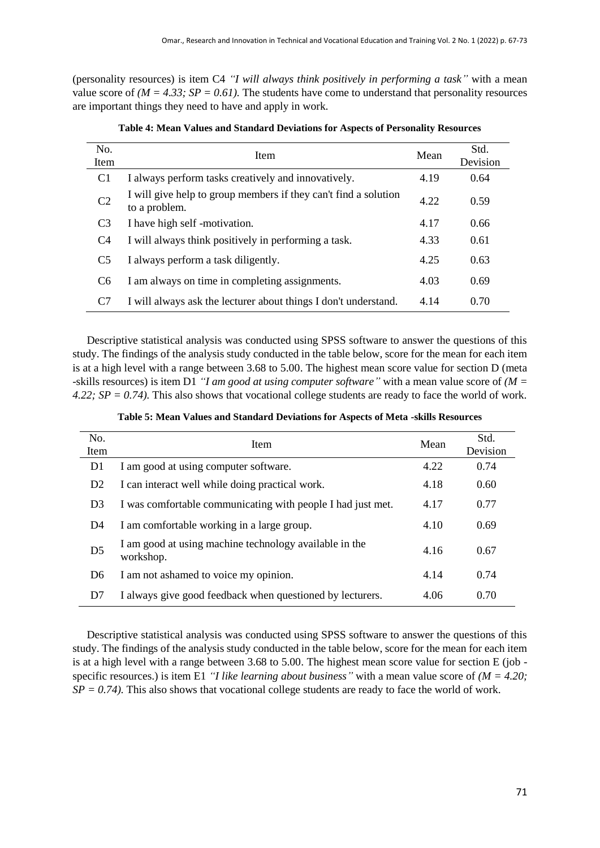(personality resources) is item C4 *"I will always think positively in performing a task"* with a mean value score of  $(M = 4.33; SP = 0.61)$ . The students have come to understand that personality resources are important things they need to have and apply in work.

| No.<br><b>Item</b> | Item                                                                             | Mean | Std.<br>Devision |
|--------------------|----------------------------------------------------------------------------------|------|------------------|
| C1                 | I always perform tasks creatively and innovatively.                              | 4.19 | 0.64             |
| C <sub>2</sub>     | I will give help to group members if they can't find a solution<br>to a problem. | 4.22 | 0.59             |
| C <sub>3</sub>     | I have high self-motivation.                                                     | 4.17 | 0.66             |
| C <sub>4</sub>     | I will always think positively in performing a task.                             | 4.33 | 0.61             |
| C <sub>5</sub>     | I always perform a task diligently.                                              | 4.25 | 0.63             |
| C <sub>6</sub>     | I am always on time in completing assignments.                                   | 4.03 | 0.69             |
| C7                 | I will always ask the lecturer about things I don't understand.                  | 4.14 | 0.70             |

**Table 4: Mean Values and Standard Deviations for Aspects of Personality Resources**

Descriptive statistical analysis was conducted using SPSS software to answer the questions of this study. The findings of the analysis study conducted in the table below, score for the mean for each item is at a high level with a range between 3.68 to 5.00. The highest mean score value for section D (meta -skills resources) is item D1 *"I am good at using computer software"* with a mean value score of *(M = 4.22; SP = 0.74).* This also shows that vocational college students are ready to face the world of work.

**Table 5: Mean Values and Standard Deviations for Aspects of Meta -skills Resources**

| No.<br>Item    | <b>Item</b>                                                         |      | Std.<br>Devision |
|----------------|---------------------------------------------------------------------|------|------------------|
| D1             | I am good at using computer software.                               | 4.22 | 0.74             |
| D <sub>2</sub> | I can interact well while doing practical work.                     | 4.18 | 0.60             |
| D <sub>3</sub> | I was comfortable communicating with people I had just met.         | 4.17 | 0.77             |
| D <sub>4</sub> | I am comfortable working in a large group.                          | 4.10 | 0.69             |
| D <sub>5</sub> | I am good at using machine technology available in the<br>workshop. | 4.16 | 0.67             |
| D <sub>6</sub> | I am not ashamed to voice my opinion.                               | 4.14 | 0.74             |
| D7             | I always give good feedback when questioned by lecturers.           | 4.06 | 0.70             |

Descriptive statistical analysis was conducted using SPSS software to answer the questions of this study. The findings of the analysis study conducted in the table below, score for the mean for each item is at a high level with a range between 3.68 to 5.00. The highest mean score value for section E (job specific resources.) is item E1 *"I like learning about business"* with a mean value score of  $(M = 4.20)$ ;  $SP = 0.74$ ). This also shows that vocational college students are ready to face the world of work.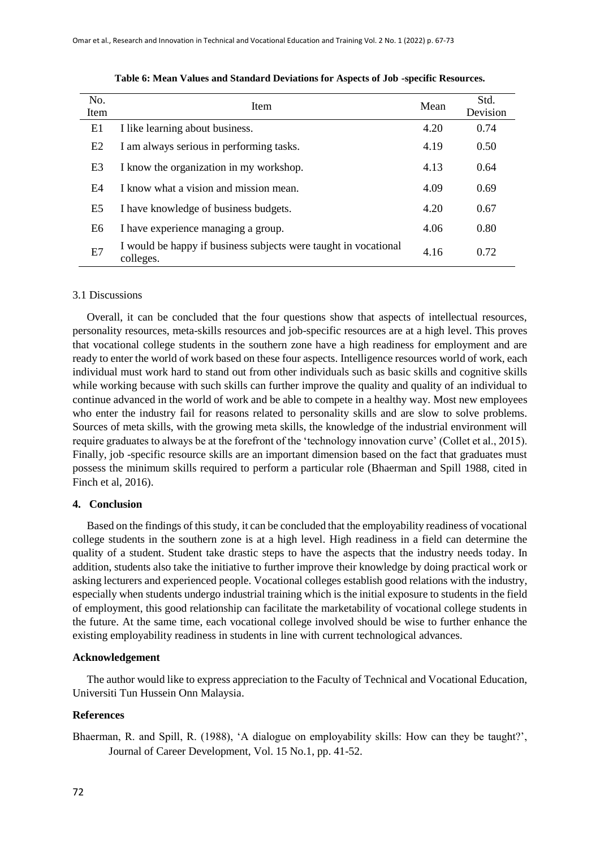| No.  | <b>Item</b>                                                                  |      | Std.     |
|------|------------------------------------------------------------------------------|------|----------|
| Item |                                                                              |      | Devision |
| E1   | I like learning about business.                                              | 4.20 | 0.74     |
| E2   | I am always serious in performing tasks.                                     | 4.19 | 0.50     |
| E3   | I know the organization in my workshop.                                      | 4.13 | 0.64     |
| E4   | I know what a vision and mission mean.                                       | 4.09 | 0.69     |
| E5   | I have knowledge of business budgets.                                        | 4.20 | 0.67     |
| E6   | I have experience managing a group.                                          | 4.06 | 0.80     |
| E7   | I would be happy if business subjects were taught in vocational<br>colleges. | 4.16 | 0.72     |

**Table 6: Mean Values and Standard Deviations for Aspects of Job -specific Resources.**

#### 3.1 Discussions

Overall, it can be concluded that the four questions show that aspects of intellectual resources, personality resources, meta-skills resources and job-specific resources are at a high level. This proves that vocational college students in the southern zone have a high readiness for employment and are ready to enter the world of work based on these four aspects. Intelligence resources world of work, each individual must work hard to stand out from other individuals such as basic skills and cognitive skills while working because with such skills can further improve the quality and quality of an individual to continue advanced in the world of work and be able to compete in a healthy way. Most new employees who enter the industry fail for reasons related to personality skills and are slow to solve problems. Sources of meta skills, with the growing meta skills, the knowledge of the industrial environment will require graduates to always be at the forefront of the 'technology innovation curve' (Collet et al., 2015). Finally, job -specific resource skills are an important dimension based on the fact that graduates must possess the minimum skills required to perform a particular role (Bhaerman and Spill 1988, cited in Finch et al, 2016).

#### **4. Conclusion**

Based on the findings of this study, it can be concluded that the employability readiness of vocational college students in the southern zone is at a high level. High readiness in a field can determine the quality of a student. Student take drastic steps to have the aspects that the industry needs today. In addition, students also take the initiative to further improve their knowledge by doing practical work or asking lecturers and experienced people. Vocational colleges establish good relations with the industry, especially when students undergo industrial training which is the initial exposure to students in the field of employment, this good relationship can facilitate the marketability of vocational college students in the future. At the same time, each vocational college involved should be wise to further enhance the existing employability readiness in students in line with current technological advances.

#### **Acknowledgement**

The author would like to express appreciation to the Faculty of Technical and Vocational Education, Universiti Tun Hussein Onn Malaysia.

#### **References**

Bhaerman, R. and Spill, R. (1988), 'A dialogue on employability skills: How can they be taught?', Journal of Career Development, Vol. 15 No.1, pp. 41-52.